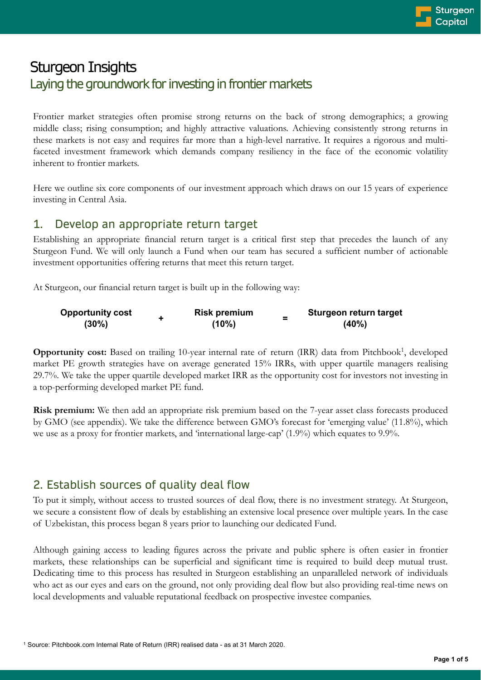# Sturgeon Insights Laying the groundwork for investing in frontier markets

Frontier market strategies often promise strong returns on the back of strong demographics; a growing middle class; rising consumption; and highly attractive valuations. Achieving consistently strong returns in these markets is not easy and requires far more than a high-level narrative. It requires a rigorous and multifaceted investment framework which demands company resiliency in the face of the economic volatility inherent to frontier markets.

Here we outline six core components of our investment approach which draws on our 15 years of experience investing in Central Asia.

## 1. Develop an appropriate return target

Establishing an appropriate financial return target is a critical first step that precedes the launch of any Sturgeon Fund. We will only launch a Fund when our team has secured a sufficient number of actionable investment opportunities offering returns that meet this return target.

At Sturgeon, our financial return target is built up in the following way:

| <b>Opportunity cost</b> | <b>Risk premium</b> | Sturgeon return target |
|-------------------------|---------------------|------------------------|
| $(30\%)$                | (10%)               | $(40\%)$               |

**Opportunity cost:** Based on trailing 10-year internal rate of return (IRR) data from Pitchbook<sup>1</sup>, developed market PE growth strategies have on average generated 15% IRRs, with upper quartile managers realising 29.7%. We take the upper quartile developed market IRR as the opportunity cost for investors not investing in a top-performing developed market PE fund.

**Risk premium:** We then add an appropriate risk premium based on the 7-year asset class forecasts produced by GMO (see appendix). We take the difference between GMO's forecast for 'emerging value' (11.8%), which we use as a proxy for frontier markets, and 'international large-cap' (1.9%) which equates to 9.9%.

## 2. Establish sources of quality deal flow

To put it simply, without access to trusted sources of deal flow, there is no investment strategy. At Sturgeon, we secure a consistent flow of deals by establishing an extensive local presence over multiple years. In the case of Uzbekistan, this process began 8 years prior to launching our dedicated Fund.

Although gaining access to leading figures across the private and public sphere is often easier in frontier markets, these relationships can be superficial and significant time is required to build deep mutual trust. Dedicating time to this process has resulted in Sturgeon establishing an unparalleled network of individuals who act as our eyes and ears on the ground, not only providing deal flow but also providing real-time news on local developments and valuable reputational feedback on prospective investee companies.

<sup>1</sup> Source: Pitchbook.com Internal Rate of Return (IRR) realised data - as at 31 March 2020.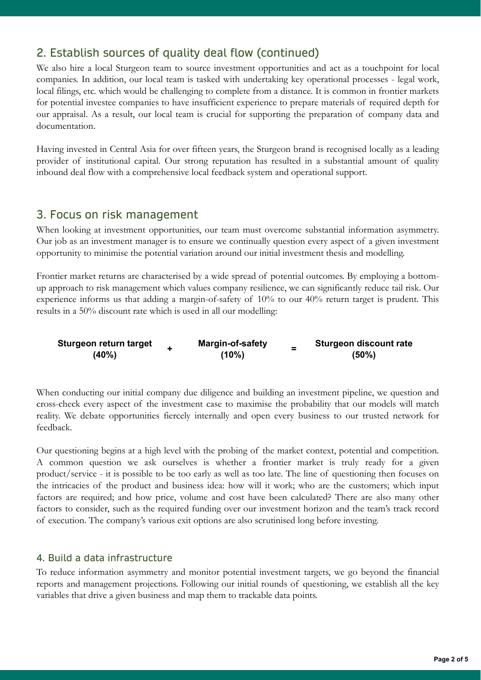## 2. Establish sources of quality deal flow (continued)

We also hire a local Sturgeon team to source investment opportunities and act as a touchpoint for local companies. In addition, our local team is tasked with undertaking key operational processes - legal work, local filings, etc. which would be challenging to complete from a distance. It is common in frontier markets for potential investee companies to have insufficient experience to prepare materials of required depth for our appraisal. As a result, our local team is crucial for supporting the preparation of company data and documentation.

Having invested in Central Asia for over fifteen years, the Sturgeon brand is recognised locally as a leading provider of institutional capital. Our strong reputation has resulted in a substantial amount of quality inbound deal flow with a comprehensive local feedback system and operational support.

### 3. Focus on risk management

When looking at investment opportunities, our team must overcome substantial information asymmetry. Our job as an investment manager is to ensure we continually question every aspect of a given investment opportunity to minimise the potential variation around our initial investment thesis and modelling.

Frontier market returns are characterised by a wide spread of potential outcomes. By employing a bottomup approach to risk management which values company resilience, we can significantly reduce tail risk. Our experience informs us that adding a margin-of-safety of 10% to our 40% return target is prudent. This results in a 50% discount rate which is used in all our modelling:

| Sturgeon return target |  | <b>Margin-of-safety</b> | Sturgeon discount rate |
|------------------------|--|-------------------------|------------------------|
| (40%)                  |  | (10%)                   | $(50\%)$               |

When conducting our initial company due diligence and building an investment pipeline, we question and cross-check every aspect of the investment case to maximise the probability that our models will match reality. We debate opportunities fiercely internally and open every business to our trusted network for feedback.

Our questioning begins at a high level with the probing of the market context, potential and competition. A common question we ask ourselves is whether a frontier market is truly ready for a given product/service - it is possible to be too early as well as too late. The line of questioning then focuses on the intricacies of the product and business idea: how will it work; who are the customers; which input factors are required; and how price, volume and cost have been calculated? There are also many other factors to consider, such as the required funding over our investment horizon and the team's track record of execution. The company's various exit options are also scrutinised long before investing.

#### 4. Build a data infrastructure

To reduce information asymmetry and monitor potential investment targets, we go beyond the financial reports and management projections. Following our initial rounds of questioning, we establish all the key variables that drive a given business and map them to trackable data points.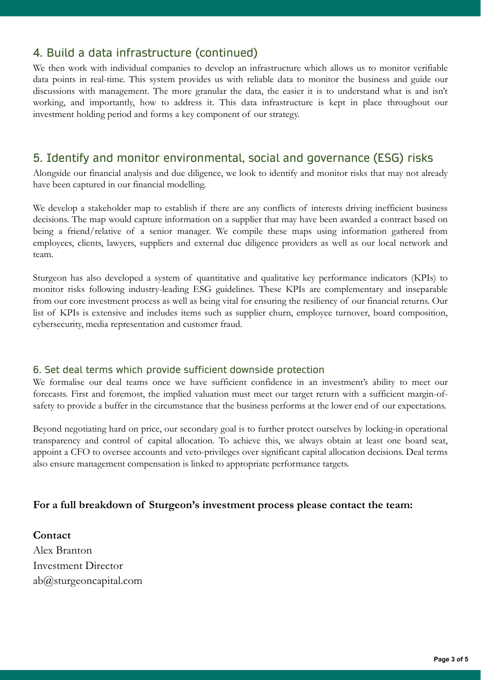## 4. Build a data infrastructure (continued)

We then work with individual companies to develop an infrastructure which allows us to monitor verifiable data points in real-time. This system provides us with reliable data to monitor the business and guide our discussions with management. The more granular the data, the easier it is to understand what is and isn't working, and importantly, how to address it. This data infrastructure is kept in place throughout our investment holding period and forms a key component of our strategy.

### 5. Identify and monitor environmental, social and governance (ESG) risks

Alongside our financial analysis and due diligence, we look to identify and monitor risks that may not already have been captured in our financial modelling.

We develop a stakeholder map to establish if there are any conflicts of interests driving inefficient business decisions. The map would capture information on a supplier that may have been awarded a contract based on being a friend/relative of a senior manager. We compile these maps using information gathered from employees, clients, lawyers, suppliers and external due diligence providers as well as our local network and team.

Sturgeon has also developed a system of quantitative and qualitative key performance indicators (KPIs) to monitor risks following industry-leading ESG guidelines. These KPIs are complementary and inseparable from our core investment process as well as being vital for ensuring the resiliency of our financial returns. Our list of KPIs is extensive and includes items such as supplier churn, employee turnover, board composition, cybersecurity, media representation and customer fraud.

#### 6. Set deal terms which provide sufficient downside protection

We formalise our deal teams once we have sufficient confidence in an investment's ability to meet our forecasts. First and foremost, the implied valuation must meet our target return with a sufficient margin-ofsafety to provide a buffer in the circumstance that the business performs at the lower end of our expectations.

Beyond negotiating hard on price, our secondary goal is to further protect ourselves by locking-in operational transparency and control of capital allocation. To achieve this, we always obtain at least one board seat, appoint a CFO to oversee accounts and veto-privileges over significant capital allocation decisions. Deal terms also ensure management compensation is linked to appropriate performance targets.

#### **For a full breakdown of Sturgeon's investment process please contact the team:**

**Contact** Alex Branton Investment Director ab@sturgeoncapital.com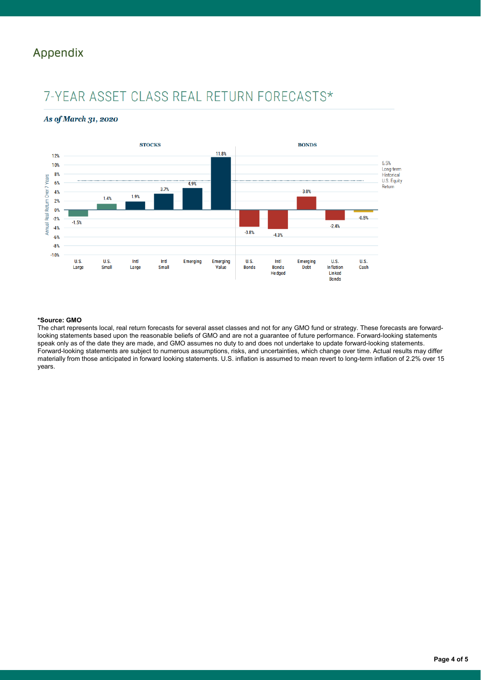# Appendix

# 7-YEAR ASSET CLASS REAL RETURN FORECASTS\*

#### As of March 31, 2020



#### **\*Source: GMO**

The chart represents local, real return forecasts for several asset classes and not for any GMO fund or strategy. These forecasts are forwardlooking statements based upon the reasonable beliefs of GMO and are not a guarantee of future performance. Forward-looking statements speak only as of the date they are made, and GMO assumes no duty to and does not undertake to update forward-looking statements. Forward-looking statements are subject to numerous assumptions, risks, and uncertainties, which change over time. Actual results may differ materially from those anticipated in forward looking statements. U.S. inflation is assumed to mean revert to long-term inflation of 2.2% over 15 years.